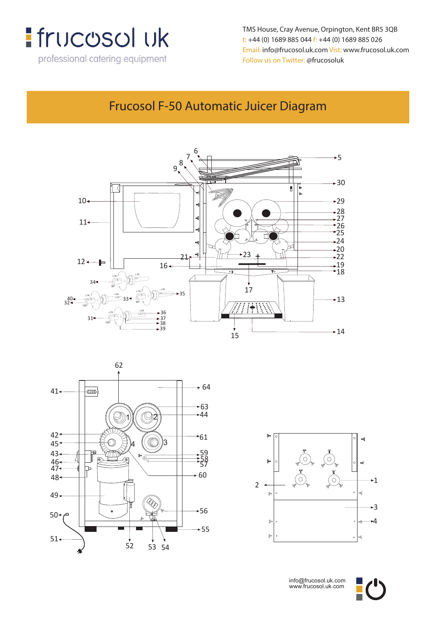

**t: +44 (0) 1689 885 044 f: +44 (0) 1689 885 026** TMS House, Cray Avenue, Orpington, Kent BR5 3QB **Email: info@frucosol.uk.com Vist: www.frucosol.uk.com** t: +44 (0) 1689 885 044 f: +44 (0) 1689 885 026 **Follow us on Twitter: @frucosoluk** Follow us on Twitter: @frucosoluk Email: info@frucosol.uk.com Vist: www.frucosol.uk.com

#### **Frucosol F-50 Automatic Juicer Diagram** 6 Frucosol F-50 Automatic Juicer Diagram







info@frucosol.uk.com www.frucosol.uk.com

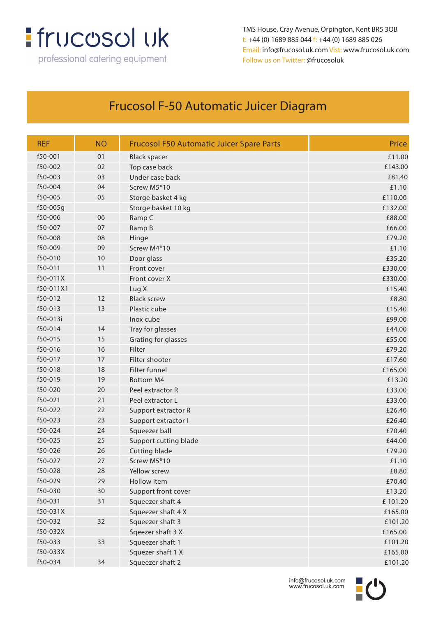# **:** frucosol uk

professional catering equipment

TMS House, Cray Avenue, Orpington, Kent BR5 3QB t: +44 (0) 1689 885 044 f: +44 (0) 1689 885 026 Email: info@frucosol.uk.com Vist: www.frucosol.uk.com Follow us on Twitter: @frucosoluk

### Frucosol F-50 Automatic Juicer Diagram

| <b>REF</b> | <b>NO</b> | <b>Frucosol F50 Automatic Juicer Spare Parts</b> | Price   |
|------------|-----------|--------------------------------------------------|---------|
| f50-001    | 01        | <b>Black spacer</b>                              | £11.00  |
| f50-002    | 02        | Top case back                                    | £143.00 |
| f50-003    | 03        | Under case back                                  | £81.40  |
| f50-004    | 04        | Screw M5*10                                      | £1.10   |
| f50-005    | 05        | Storge basket 4 kg                               | £110.00 |
| $f50-005q$ |           | Storge basket 10 kg                              | £132.00 |
| f50-006    | 06        | Ramp C                                           | £88.00  |
| f50-007    | 07        | Ramp B                                           | £66.00  |
| f50-008    | 08        | Hinge                                            | £79.20  |
| f50-009    | 09        | Screw M4*10                                      | £1.10   |
| f50-010    | 10        | Door glass                                       | £35.20  |
| f50-011    | 11        | Front cover                                      | £330.00 |
| f50-011X   |           | Front cover X                                    | £330.00 |
| f50-011X1  |           | Lug X                                            | £15.40  |
| f50-012    | 12        | <b>Black screw</b>                               | £8.80   |
| f50-013    | 13        | Plastic cube                                     | £15.40  |
| f50-013i   |           | Inox cube                                        | £99.00  |
| f50-014    | 14        | Tray for glasses                                 | £44.00  |
| f50-015    | 15        | Grating for glasses                              | £55.00  |
| f50-016    | 16        | Filter                                           | £79.20  |
| f50-017    | 17        | Filter shooter                                   | £17.60  |
| f50-018    | 18        | Filter funnel                                    | £165.00 |
| f50-019    | 19        | <b>Bottom M4</b>                                 | £13.20  |
| f50-020    | 20        | Peel extractor R                                 | £33.00  |
| f50-021    | 21        | Peel extractor L                                 | £33.00  |
| f50-022    | 22        | Support extractor R                              | £26.40  |
| f50-023    | 23        | Support extractor I                              | £26.40  |
| f50-024    | 24        | Squeezer ball                                    | £70.40  |
| f50-025    | 25        | Support cutting blade                            | £44.00  |
| f50-026    | 26        | Cutting blade                                    | £79.20  |
| f50-027    | 27        | Screw M5*10                                      | £1.10   |
| f50-028    | 28        | Yellow screw                                     | £8.80   |
| f50-029    | 29        | Hollow item                                      | £70.40  |
| f50-030    | 30        | Support front cover                              | £13.20  |
| f50-031    | 31        | Squeezer shaft 4                                 | £101.20 |
| f50-031X   |           | Squeezer shaft 4 X                               | £165.00 |
| f50-032    | 32        | Squeezer shaft 3                                 | £101.20 |
| f50-032X   |           | Sqeezer shaft 3 X                                | £165.00 |
| f50-033    | 33        | Squeezer shaft 1                                 | £101.20 |
| f50-033X   |           | Squezer shaft 1 X                                | £165.00 |
| f50-034    | 34        | Squeezer shaft 2                                 | £101.20 |



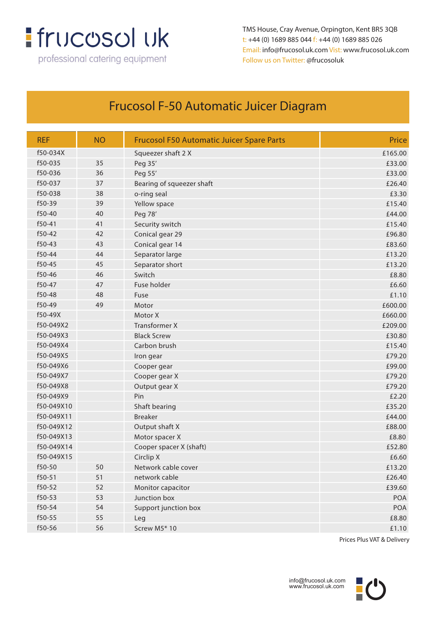## **:** frucosol uk

professional catering equipment

TMS House, Cray Avenue, Orpington, Kent BR5 3QB t: +44 (0) 1689 885 044 f: +44 (0) 1689 885 026 Email: info@frucosol.uk.com Vist: www.frucosol.uk.com Follow us on Twitter: @frucosoluk

### Frucosol F-50 Automatic Juicer Diagram

| <b>REF</b> | <b>NO</b> | <b>Frucosol F50 Automatic Juicer Spare Parts</b> | Price   |
|------------|-----------|--------------------------------------------------|---------|
| f50-034X   |           | Squeezer shaft 2 X                               | £165.00 |
| f50-035    | 35        | Peg 35'                                          | £33.00  |
| f50-036    | 36        | Peg 55'                                          | £33.00  |
| f50-037    | 37        | Bearing of squeezer shaft                        | £26.40  |
| f50-038    | 38        | o-ring seal                                      | £3.30   |
| f50-39     | 39        | Yellow space                                     | £15.40  |
| f50-40     | 40        | Peg 78'                                          | £44.00  |
| f50-41     | 41        | Security switch                                  | £15.40  |
| f50-42     | 42        | Conical gear 29                                  | £96.80  |
| f50-43     | 43        | Conical gear 14                                  | £83.60  |
| f50-44     | 44        | Separator large                                  | £13.20  |
| f50-45     | 45        | Separator short                                  | £13.20  |
| f50-46     | 46        | Switch                                           | £8.80   |
| f50-47     | 47        | Fuse holder                                      | £6.60   |
| f50-48     | 48        | Fuse                                             | £1.10   |
| f50-49     | 49        | Motor                                            | £600.00 |
| f50-49X    |           | Motor X                                          | £660.00 |
| f50-049X2  |           | <b>Transformer X</b>                             | £209.00 |
| f50-049X3  |           | <b>Black Screw</b>                               | £30.80  |
| f50-049X4  |           | Carbon brush                                     | £15.40  |
| f50-049X5  |           | Iron gear                                        | £79.20  |
| f50-049X6  |           | Cooper gear                                      | £99.00  |
| f50-049X7  |           | Cooper gear X                                    | £79.20  |
| f50-049X8  |           | Output gear X                                    | £79.20  |
| f50-049X9  |           | Pin                                              | £2.20   |
| f50-049X10 |           | Shaft bearing                                    | £35.20  |
| f50-049X11 |           | <b>Breaker</b>                                   | £44.00  |
| f50-049X12 |           | Output shaft X                                   | £88.00  |
| f50-049X13 |           | Motor spacer X                                   | £8.80   |
| f50-049X14 |           | Cooper spacer X (shaft)                          | £52.80  |
| f50-049X15 |           | Circlip X                                        | £6.60   |
| f50-50     | 50        | Network cable cover                              | £13.20  |
| f50-51     | 51        | network cable                                    | £26.40  |
| f50-52     | 52        | Monitor capacitor                                | £39.60  |
| f50-53     | 53        | Junction box                                     | POA     |
| f50-54     | 54        | Support junction box                             | POA     |
| f50-55     | 55        | Leg                                              | £8.80   |
| f50-56     | 56        | Screw M5* 10                                     | £1.10   |

Prices Plus VAT & Delivery